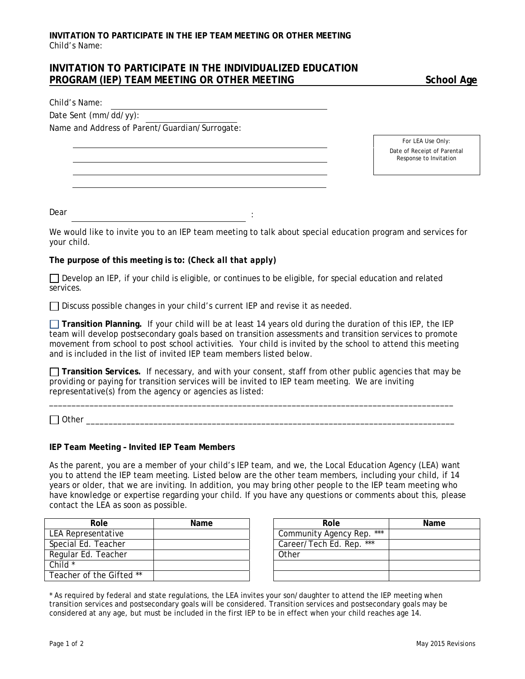# **INVITATION TO PARTICIPATE IN THE INDIVIDUALIZED EDUCATION PROGRAM (IEP) TEAM MEETING OR OTHER MEETING SCHOOL Age**

Child's Name:

Date Sent (mm/dd/yy):

Name and Address of Parent/Guardian/Surrogate:

*For LEA Use Only:* Date of Receipt of Parental Response to Invitation

Dear

We would like to invite you to an IEP team meeting to talk about special education program and services for your child.

:

### **The purpose of this meeting is to:** *(Check all that apply)*

Develop an *IEP*, if your child is eligible, or continues to be eligible, for special education and related services.

□ Discuss possible changes in your child's current *IEP* and revise it as needed.

**Transition Planning.** If your child will be at least 14 years old during the duration of this *IEP*, the IEP team will develop postsecondary goals based on transition assessments and transition services to promote movement from school to post school activities. Your child is invited by the school to attend this meeting and is included in the list of invited IEP team members listed below.

**Transition Services.** If necessary, and with your consent, staff from other public agencies that may be providing or paying for transition services will be invited to IEP team meeting. We are inviting representative(s) from the agency or agencies as listed:

\_\_\_\_\_\_\_\_\_\_\_\_\_\_\_\_\_\_\_\_\_\_\_\_\_\_\_\_\_\_\_\_\_\_\_\_\_\_\_\_\_\_\_\_\_\_\_\_\_\_\_\_\_\_\_\_\_\_\_\_\_\_\_\_\_\_\_\_\_\_\_\_\_\_\_\_\_\_\_\_\_\_\_\_\_\_\_\_\_\_

 $\Box$  Other  $\Box$ 

#### **IEP Team Meeting – Invited IEP Team Members**

As the parent, you are a member of your child's IEP team, and we, the Local Education Agency (LEA) want you to attend the IEP team meeting. Listed below are the other team members, including your child, if 14 years or older, that we are inviting. In addition, you may bring other people to the IEP team meeting who have knowledge or expertise regarding your child. If you have any questions or comments about this, please contact the LEA as soon as possible.

| Role                     | Name | Role                         |
|--------------------------|------|------------------------------|
| LEA Representative       |      | ***<br>Community Agency Rep. |
| Special Ed. Teacher      |      | ***<br>Career/Tech Ed. Rep.  |
| Regular Ed. Teacher      |      | Other                        |
| Child $*$                |      |                              |
| Teacher of the Gifted ** |      |                              |

| Role          | Name | Role                      | Name |
|---------------|------|---------------------------|------|
| sentative     |      | Community Agency Rep. *** |      |
| Teacher       |      | Career/Tech Ed. Rep. ***  |      |
| . Teacher     |      | Other                     |      |
|               |      |                           |      |
| the Gifted ** |      |                           |      |

\* As required by federal and state regulations, the LEA invites your son/daughter to attend the IEP meeting when transition services and postsecondary goals will be considered. Transition services and postsecondary goals may be considered at any age, but must be included in the first *IEP* to be in effect when your child reaches age 14.